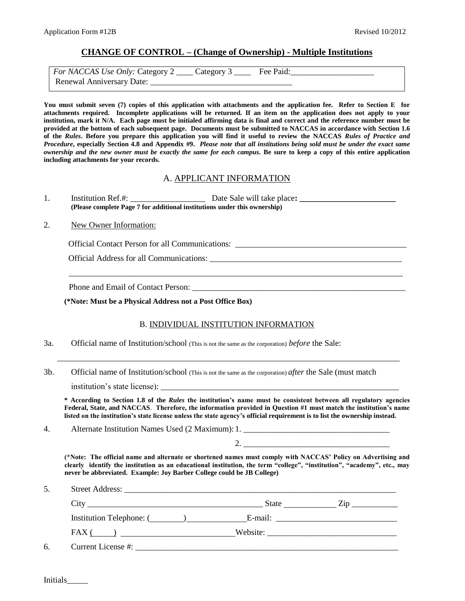## **CHANGE OF CONTROL – (Change of Ownership) - Multiple Institutions**

| For NACCAS Use Only: Category 2 _____ Category 3 ______ Fee Paid: |  |  |
|-------------------------------------------------------------------|--|--|
| Renewal Anniversary Date:                                         |  |  |

**You must submit seven (7) copies of this application with attachments and the application fee. Refer to Section E for attachments required. Incomplete applications will be returned. If an item on the application does not apply to your institution, mark it N/A. Each page must be initialed affirming data is final and correct and the reference number must be provided at the bottom of each subsequent page. Documents must be submitted to NACCAS in accordance with Section 1.6 of the** *Rules***. Before you prepare this application you will find it useful to review the NACCAS** *Rules of Practice and Procedure***, especially Section 4.8 and Appendix #9.** *Please note that all institutions being sold must be under the exact same ownership and the new owner must be exactly the same for each campus.* Be sure to keep a copy of this entire application **including attachments for your records.** 

#### A. APPLICANT INFORMATION

1. Institution Ref.#: \_\_\_\_\_\_\_\_\_\_\_\_\_\_\_\_\_\_ Date Sale will take place**: \_\_\_\_\_\_\_\_\_\_\_\_\_\_\_\_\_\_\_\_\_\_\_ (Please complete Page 7 for additional institutions under this ownership)**

#### 2. New Owner Information:

Official Contact Person for all Communications: \_\_\_\_\_\_\_\_\_\_\_\_\_\_\_\_\_\_\_\_\_\_\_\_\_\_\_\_\_\_\_\_

Official Address for all Communications: \_\_\_\_\_\_\_\_\_\_\_\_\_\_\_\_\_\_\_\_\_\_\_\_\_\_\_\_\_\_\_\_\_\_\_\_\_\_\_\_\_\_\_\_\_\_

Phone and Email of Contact Person:

**(\*Note: Must be a Physical Address not a Post Office Box)**

#### B. INDIVIDUAL INSTITUTION INFORMATION

\_\_\_\_\_\_\_\_\_\_\_\_\_\_\_\_\_\_\_\_\_\_\_\_\_\_\_\_\_\_\_\_\_\_\_\_\_\_\_\_\_\_\_\_\_\_\_\_\_\_\_\_\_\_\_\_\_\_\_\_\_\_\_\_\_\_\_\_\_\_\_\_\_\_\_\_\_\_\_\_\_\_

\_\_\_\_\_\_\_\_\_\_\_\_\_\_\_\_\_\_\_\_\_\_\_\_\_\_\_\_\_\_\_\_\_\_\_\_\_\_\_\_\_\_\_\_\_\_\_\_\_\_\_\_\_\_\_\_\_\_\_\_\_\_\_\_\_\_\_\_\_\_\_\_\_\_\_\_\_\_\_\_

- 3a. Official name of Institution/school (This is not the same as the corporation) *before* the Sale:
- 3b. Official name of Institution/school (This is not the same as the corporation) *after* the Sale (must match

institution's state license):

**\* According to Section 1.8 of the** *Rules* **the institution's name must be consistent between all regulatory agencies Federal, State, and NACCAS**. **Therefore, the information provided in Question #1 must match the institution's name listed on the institution's state license unless the state agency's official requirement is to list the ownership instead.** 

4. Alternate Institution Names Used (2 Maximum): 1.

2. \_\_\_\_\_\_\_\_\_\_\_\_\_\_\_\_\_\_\_\_\_\_\_\_\_\_\_\_\_\_\_\_\_\_\_

**(\*Note: The official name and alternate or shortened names must comply with NACCAS' Policy on Advertising and clearly identify the institution as an educational institution, the term "college", "institution", "academy", etc., may never be abbreviated. Example: Joy Barber College could be JB College)** 

| 5. |                                                                                                                                                                                                                                                                                                                                          |       |                                                                                                                                                                                                                                                                                                                                                                                                                                                                                 |
|----|------------------------------------------------------------------------------------------------------------------------------------------------------------------------------------------------------------------------------------------------------------------------------------------------------------------------------------------|-------|---------------------------------------------------------------------------------------------------------------------------------------------------------------------------------------------------------------------------------------------------------------------------------------------------------------------------------------------------------------------------------------------------------------------------------------------------------------------------------|
|    |                                                                                                                                                                                                                                                                                                                                          | State | $\angle$ ip                                                                                                                                                                                                                                                                                                                                                                                                                                                                     |
|    |                                                                                                                                                                                                                                                                                                                                          |       | E-mail:                                                                                                                                                                                                                                                                                                                                                                                                                                                                         |
|    | $FAX$ ( ) $\qquad$ $\qquad$ $\qquad$ $\qquad$ $\qquad$ $\qquad$ $\qquad$ $\qquad$ $\qquad$ $\qquad$ $\qquad$ $\qquad$ $\qquad$ $\qquad$ $\qquad$ $\qquad$ $\qquad$ $\qquad$ $\qquad$ $\qquad$ $\qquad$ $\qquad$ $\qquad$ $\qquad$ $\qquad$ $\qquad$ $\qquad$ $\qquad$ $\qquad$ $\qquad$ $\qquad$ $\qquad$ $\qquad$ $\qquad$ $\qquad$ $\$ |       | $\text{Website:}\n\begin{array}{c}\n\text{Website:}\n\end{array}\n\begin{array}{c}\n\text{Website:}\n\end{array}\n\begin{array}{c}\n\text{Website:}\n\end{array}\n\begin{array}{c}\n\text{Website:}\n\end{array}\n\begin{array}{c}\n\text{Website:}\n\end{array}\n\begin{array}{c}\n\text{Website:}\n\end{array}\n\begin{array}{c}\n\text{Website:}\n\end{array}\n\begin{array}{c}\n\text{Website:}\n\end{array}\n\begin{array}{c}\n\text{Website:}\n\end{array}\n\begin{array$ |
| 6. | Current License #:                                                                                                                                                                                                                                                                                                                       |       |                                                                                                                                                                                                                                                                                                                                                                                                                                                                                 |

Initials\_\_\_\_\_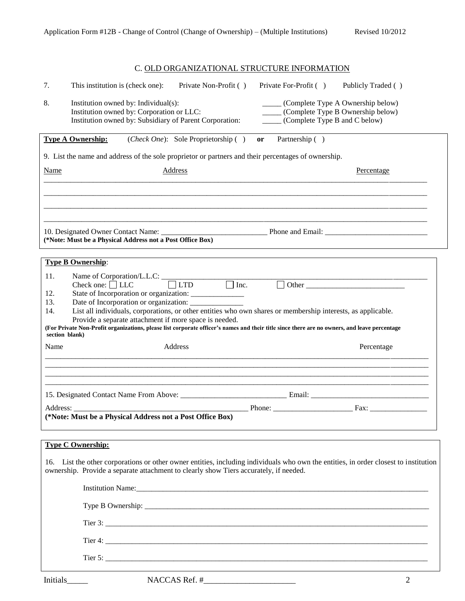# C. OLD ORGANIZATIONAL STRUCTURE INFORMATION

| 7.                                         | This institution is (check one):<br>Private Non-Profit ()                                                                                                                                                                                                                                                                                                                                                                                                                                                                       | Private For-Profit ()<br>Publicly Traded ()                                                                                      |
|--------------------------------------------|---------------------------------------------------------------------------------------------------------------------------------------------------------------------------------------------------------------------------------------------------------------------------------------------------------------------------------------------------------------------------------------------------------------------------------------------------------------------------------------------------------------------------------|----------------------------------------------------------------------------------------------------------------------------------|
| 8.                                         | Institution owned by: Individual(s):<br>Institution owned by: Corporation or LLC:<br>Institution owned by: Subsidiary of Parent Corporation:                                                                                                                                                                                                                                                                                                                                                                                    | (Complete Type A Ownership below)<br>_____ (Complete Type B Ownership below)<br>(Complete Type B and C below)                    |
|                                            | <b>Type A Ownership:</b><br>( <i>Check One</i> ): Sole Proprietorship ()                                                                                                                                                                                                                                                                                                                                                                                                                                                        | Partnership ()<br>or                                                                                                             |
|                                            | 9. List the name and address of the sole proprietor or partners and their percentages of ownership.                                                                                                                                                                                                                                                                                                                                                                                                                             |                                                                                                                                  |
| <b>Name</b>                                | <b>Address</b>                                                                                                                                                                                                                                                                                                                                                                                                                                                                                                                  | Percentage                                                                                                                       |
|                                            |                                                                                                                                                                                                                                                                                                                                                                                                                                                                                                                                 |                                                                                                                                  |
|                                            |                                                                                                                                                                                                                                                                                                                                                                                                                                                                                                                                 |                                                                                                                                  |
|                                            | (*Note: Must be a Physical Address not a Post Office Box)                                                                                                                                                                                                                                                                                                                                                                                                                                                                       |                                                                                                                                  |
|                                            | <b>Type B Ownership:</b>                                                                                                                                                                                                                                                                                                                                                                                                                                                                                                        |                                                                                                                                  |
| 11.<br>12.<br>13.<br>14.<br>section blank) | Name of Corporation/L.L.C: $\Box$ LTD $\Box$ Inc. $\Box$ Other $\Box$ Other $\Box$<br>State of Incorporation or organization: ________________<br>Date of Incorporation or organization: ____________<br>List all individuals, corporations, or other entities who own shares or membership interests, as applicable.<br>Provide a separate attachment if more space is needed.<br>(For Private Non-Profit organizations, please list corporate officer's names and their title since there are no owners, and leave percentage |                                                                                                                                  |
| Name                                       | Address                                                                                                                                                                                                                                                                                                                                                                                                                                                                                                                         | Percentage                                                                                                                       |
|                                            |                                                                                                                                                                                                                                                                                                                                                                                                                                                                                                                                 |                                                                                                                                  |
|                                            |                                                                                                                                                                                                                                                                                                                                                                                                                                                                                                                                 |                                                                                                                                  |
|                                            |                                                                                                                                                                                                                                                                                                                                                                                                                                                                                                                                 |                                                                                                                                  |
|                                            | (*Note: Must be a Physical Address not a Post Office Box)                                                                                                                                                                                                                                                                                                                                                                                                                                                                       |                                                                                                                                  |
|                                            | <b>Type C Ownership:</b>                                                                                                                                                                                                                                                                                                                                                                                                                                                                                                        |                                                                                                                                  |
| 16.                                        | ownership. Provide a separate attachment to clearly show Tiers accurately, if needed.                                                                                                                                                                                                                                                                                                                                                                                                                                           | List the other corporations or other owner entities, including individuals who own the entities, in order closest to institution |
|                                            |                                                                                                                                                                                                                                                                                                                                                                                                                                                                                                                                 |                                                                                                                                  |
|                                            |                                                                                                                                                                                                                                                                                                                                                                                                                                                                                                                                 |                                                                                                                                  |
|                                            |                                                                                                                                                                                                                                                                                                                                                                                                                                                                                                                                 |                                                                                                                                  |
|                                            |                                                                                                                                                                                                                                                                                                                                                                                                                                                                                                                                 |                                                                                                                                  |
|                                            |                                                                                                                                                                                                                                                                                                                                                                                                                                                                                                                                 |                                                                                                                                  |
|                                            |                                                                                                                                                                                                                                                                                                                                                                                                                                                                                                                                 |                                                                                                                                  |

Initials\_\_\_\_\_ NACCAS Ref. #\_\_\_\_\_\_\_\_\_\_\_\_\_\_\_\_\_\_\_\_\_\_ 2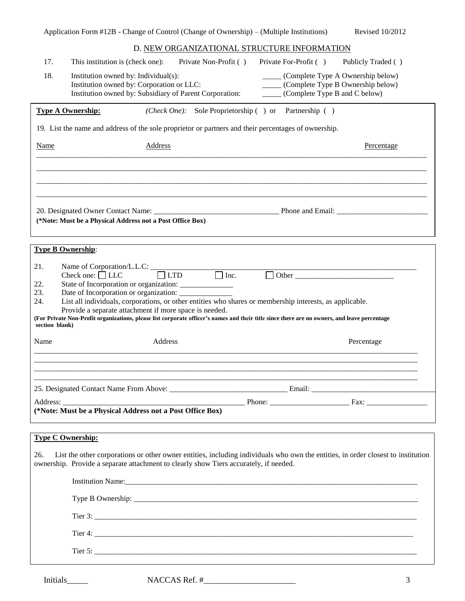|                | Application Form #12B - Change of Control (Change of Ownership) – (Multiple Institutions) |                                                                                                      | Revised 10/2012                                                                                                                              |  |
|----------------|-------------------------------------------------------------------------------------------|------------------------------------------------------------------------------------------------------|----------------------------------------------------------------------------------------------------------------------------------------------|--|
|                |                                                                                           |                                                                                                      | D. NEW ORGANIZATIONAL STRUCTURE INFORMATION                                                                                                  |  |
| 17.            | This institution is (check one):                                                          | Private Non-Profit ()                                                                                | Private For-Profit ()<br>Publicly Traded ()                                                                                                  |  |
| 18.            |                                                                                           | Institution owned by: Individual(s):                                                                 | ______ (Complete Type A Ownership below)                                                                                                     |  |
|                |                                                                                           | Institution owned by: Corporation or LLC:<br>Institution owned by: Subsidiary of Parent Corporation: | ____ (Complete Type B Ownership below)<br>______ (Complete Type B and C below)                                                               |  |
|                | <b>Type A Ownership:</b>                                                                  |                                                                                                      | (Check One): Sole Proprietorship () or Partnership ()                                                                                        |  |
|                |                                                                                           |                                                                                                      | 19. List the name and address of the sole proprietor or partners and their percentages of ownership.                                         |  |
| <b>Name</b>    |                                                                                           | <b>Address</b>                                                                                       | <b>Percentage</b>                                                                                                                            |  |
|                |                                                                                           |                                                                                                      |                                                                                                                                              |  |
|                |                                                                                           |                                                                                                      |                                                                                                                                              |  |
|                |                                                                                           |                                                                                                      |                                                                                                                                              |  |
|                |                                                                                           |                                                                                                      | 20. Designated Owner Contact Name: Phone and Email: Phone and Email:                                                                         |  |
|                |                                                                                           | (*Note: Must be a Physical Address not a Post Office Box)                                            |                                                                                                                                              |  |
|                |                                                                                           |                                                                                                      |                                                                                                                                              |  |
|                | <b>Type B Ownership:</b>                                                                  |                                                                                                      |                                                                                                                                              |  |
| 21.            |                                                                                           | Name of Corporation/L.L.C: $\qquad \qquad \qquad$ LTD $\qquad \qquad$ Inc.                           |                                                                                                                                              |  |
| 22.            |                                                                                           | State of Incorporation or organization: _______________                                              |                                                                                                                                              |  |
| 23.            |                                                                                           | Date of Incorporation or organization:                                                               |                                                                                                                                              |  |
| 24.            |                                                                                           | Provide a separate attachment if more space is needed.                                               | List all individuals, corporations, or other entities who shares or membership interests, as applicable.                                     |  |
| section blank) |                                                                                           |                                                                                                      | (For Private Non-Profit organizations, please list corporate officer's names and their title since there are no owners, and leave percentage |  |
|                |                                                                                           | Address                                                                                              | Percentage                                                                                                                                   |  |
| Name           |                                                                                           |                                                                                                      |                                                                                                                                              |  |
|                |                                                                                           |                                                                                                      |                                                                                                                                              |  |
|                |                                                                                           |                                                                                                      |                                                                                                                                              |  |
|                |                                                                                           |                                                                                                      |                                                                                                                                              |  |
|                |                                                                                           |                                                                                                      |                                                                                                                                              |  |
|                |                                                                                           | (*Note: Must be a Physical Address not a Post Office Box)                                            |                                                                                                                                              |  |
|                |                                                                                           |                                                                                                      |                                                                                                                                              |  |
|                | <b>Type C Ownership:</b>                                                                  |                                                                                                      |                                                                                                                                              |  |
| 26.            |                                                                                           | ownership. Provide a separate attachment to clearly show Tiers accurately, if needed.                | List the other corporations or other owner entities, including individuals who own the entities, in order closest to institution             |  |
|                |                                                                                           |                                                                                                      |                                                                                                                                              |  |
|                |                                                                                           |                                                                                                      |                                                                                                                                              |  |
|                |                                                                                           |                                                                                                      | Tier 3: $\frac{1}{2}$                                                                                                                        |  |
|                |                                                                                           |                                                                                                      |                                                                                                                                              |  |
|                |                                                                                           |                                                                                                      |                                                                                                                                              |  |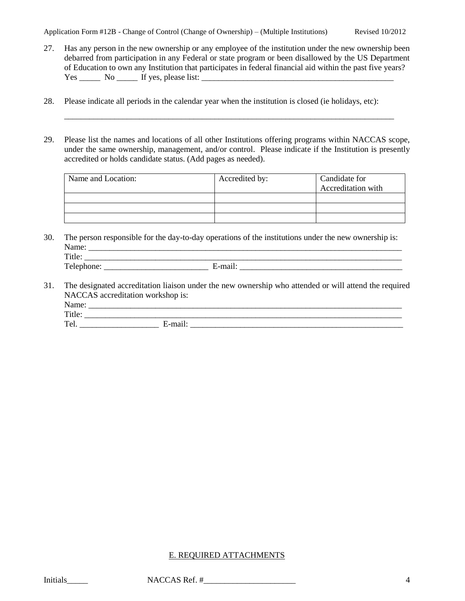- 27. Has any person in the new ownership or any employee of the institution under the new ownership been debarred from participation in any Federal or state program or been disallowed by the US Department of Education to own any Institution that participates in federal financial aid within the past five years?  $Yes \_\_\_\_\_\_\$  If yes, please list:  $\_\_\_\_\_\_\_\_\_\_\_\_\_\_\_\_\_\_\_\_\_$
- 28. Please indicate all periods in the calendar year when the institution is closed (ie holidays, etc):
- 29. Please list the names and locations of all other Institutions offering programs within NACCAS scope, under the same ownership, management, and/or control. Please indicate if the Institution is presently accredited or holds candidate status. (Add pages as needed).

\_\_\_\_\_\_\_\_\_\_\_\_\_\_\_\_\_\_\_\_\_\_\_\_\_\_\_\_\_\_\_\_\_\_\_\_\_\_\_\_\_\_\_\_\_\_\_\_\_\_\_\_\_\_\_\_\_\_\_\_\_\_\_\_\_\_\_\_\_\_\_\_\_\_\_\_\_\_\_

| Name and Location: | Accredited by: | Candidate for             |
|--------------------|----------------|---------------------------|
|                    |                | <b>Accreditation with</b> |
|                    |                |                           |
|                    |                |                           |
|                    |                |                           |

30. The person responsible for the day-to-day operations of the institutions under the new ownership is: Name:  $\frac{1}{\text{Title}}$  $T$  is a set of the set of the set of the set of the set of the set of the set of the set of the set of the set of the set of the set of the set of the set of the set of the set of the set of the set of the set of the set

| .<br>.<br>--                               |  |
|--------------------------------------------|--|
| $\sim$<br>.<br>,,,,,,,,<br>--<br>---<br>__ |  |

31. The designated accreditation liaison under the new ownership who attended or will attend the required NACCAS accreditation workshop is: Name: \_\_\_\_\_\_\_\_\_\_\_\_\_\_\_\_\_\_\_\_\_\_\_\_\_\_\_\_\_\_\_\_\_\_\_\_\_\_\_\_\_\_\_\_\_\_\_\_\_\_\_\_\_\_\_\_\_\_\_\_\_\_\_\_\_\_\_\_\_\_\_\_\_\_\_ Title: \_\_\_\_\_\_\_\_\_\_\_\_\_\_\_\_\_\_\_\_\_\_\_\_\_\_\_\_\_\_\_\_\_\_\_\_\_\_\_\_\_\_\_\_\_\_\_\_\_\_\_\_\_\_\_\_\_\_\_\_\_\_\_\_\_\_\_\_\_\_\_\_\_\_\_\_

Tel. \_\_\_\_\_\_\_\_\_\_\_\_\_\_\_\_\_\_\_ E-mail: \_\_\_\_\_\_\_\_\_\_\_\_\_\_\_\_\_\_\_\_\_\_\_\_\_\_\_\_\_\_\_\_\_\_\_\_\_\_\_\_\_\_\_\_\_\_\_\_\_\_\_

## E. REQUIRED ATTACHMENTS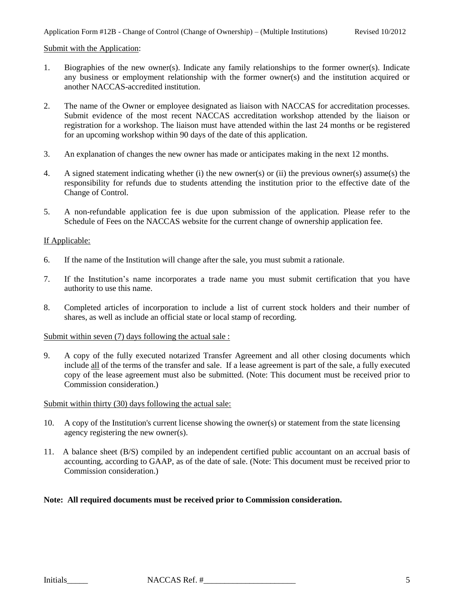#### Submit with the Application:

- 1. Biographies of the new owner(s). Indicate any family relationships to the former owner(s). Indicate any business or employment relationship with the former owner(s) and the institution acquired or another NACCAS-accredited institution.
- 2. The name of the Owner or employee designated as liaison with NACCAS for accreditation processes. Submit evidence of the most recent NACCAS accreditation workshop attended by the liaison or registration for a workshop. The liaison must have attended within the last 24 months or be registered for an upcoming workshop within 90 days of the date of this application.
- 3. An explanation of changes the new owner has made or anticipates making in the next 12 months.
- 4. A signed statement indicating whether (i) the new owner(s) or (ii) the previous owner(s) assume(s) the responsibility for refunds due to students attending the institution prior to the effective date of the Change of Control.
- 5. A non-refundable application fee is due upon submission of the application. Please refer to the Schedule of Fees on the NACCAS website for the current change of ownership application fee.

#### If Applicable:

- 6. If the name of the Institution will change after the sale, you must submit a rationale.
- 7. If the Institution's name incorporates a trade name you must submit certification that you have authority to use this name.
- 8. Completed articles of incorporation to include a list of current stock holders and their number of shares, as well as include an official state or local stamp of recording.

#### Submit within seven (7) days following the actual sale :

9. A copy of the fully executed notarized Transfer Agreement and all other closing documents which include all of the terms of the transfer and sale. If a lease agreement is part of the sale, a fully executed copy of the lease agreement must also be submitted. (Note: This document must be received prior to Commission consideration.)

#### Submit within thirty (30) days following the actual sale:

- 10. A copy of the Institution's current license showing the owner(s) or statement from the state licensing agency registering the new owner(s).
- 11. A balance sheet (B/S) compiled by an independent certified public accountant on an accrual basis of accounting, according to GAAP, as of the date of sale. (Note: This document must be received prior to Commission consideration.)

#### **Note: All required documents must be received prior to Commission consideration.**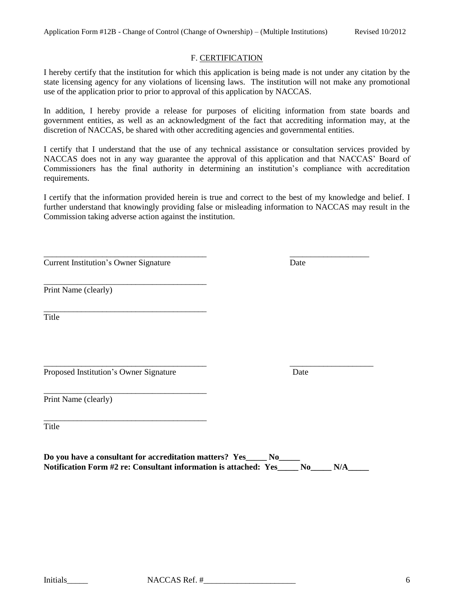#### F. CERTIFICATION

I hereby certify that the institution for which this application is being made is not under any citation by the state licensing agency for any violations of licensing laws. The institution will not make any promotional use of the application prior to prior to approval of this application by NACCAS.

In addition, I hereby provide a release for purposes of eliciting information from state boards and government entities, as well as an acknowledgment of the fact that accrediting information may, at the discretion of NACCAS, be shared with other accrediting agencies and governmental entities.

I certify that I understand that the use of any technical assistance or consultation services provided by NACCAS does not in any way guarantee the approval of this application and that NACCAS' Board of Commissioners has the final authority in determining an institution's compliance with accreditation requirements.

I certify that the information provided herein is true and correct to the best of my knowledge and belief. I further understand that knowingly providing false or misleading information to NACCAS may result in the Commission taking adverse action against the institution.

\_\_\_\_\_\_\_\_\_\_\_\_\_\_\_\_\_\_\_\_\_\_\_\_\_\_\_\_\_\_\_\_\_\_\_\_\_\_\_ \_\_\_\_\_\_\_\_\_\_\_\_\_\_\_\_\_\_\_

**Current Institution's Owner Signature Date** 

\_\_\_\_\_\_\_\_\_\_\_\_\_\_\_\_\_\_\_\_\_\_\_\_\_\_\_\_\_\_\_\_\_\_\_\_\_\_\_

\_\_\_\_\_\_\_\_\_\_\_\_\_\_\_\_\_\_\_\_\_\_\_\_\_\_\_\_\_\_\_\_\_\_\_\_\_\_\_

\_\_\_\_\_\_\_\_\_\_\_\_\_\_\_\_\_\_\_\_\_\_\_\_\_\_\_\_\_\_\_\_\_\_\_\_\_\_\_

\_\_\_\_\_\_\_\_\_\_\_\_\_\_\_\_\_\_\_\_\_\_\_\_\_\_\_\_\_\_\_\_\_\_\_\_\_\_\_

Print Name (clearly)

Title

\_\_\_\_\_\_\_\_\_\_\_\_\_\_\_\_\_\_\_\_\_\_\_\_\_\_\_\_\_\_\_\_\_\_\_\_\_\_\_ \_\_\_\_\_\_\_\_\_\_\_\_\_\_\_\_\_\_\_\_ Proposed Institution's Owner Signature Date

Print Name (clearly)

**Title** 

**Do you have a consultant for accreditation matters? Yes\_\_\_\_\_ No\_\_\_\_\_ Notification Form #2 re: Consultant information is attached: Yes\_\_\_\_\_ No\_\_\_\_\_ N/A\_\_\_\_\_**